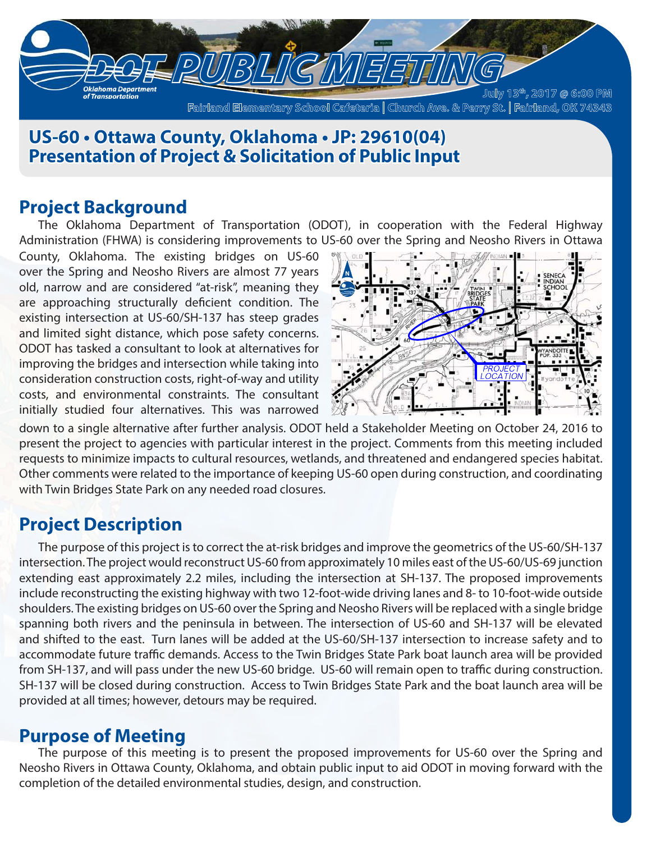

## **US-60 • Ottawa County, Oklahoma • JP: 29610(04) Presentation of Project & Solicitation of Public Input**

### **Project Background**

The Oklahoma Department of Transportation (ODOT), in cooperation with the Federal Highway Administration (FHWA) is considering improvements to US-60 over the Spring and Neosho Rivers in Ottawa

County, Oklahoma. The existing bridges on US-60 over the Spring and Neosho Rivers are almost 77 years old, narrow and are considered "at-risk", meaning they are approaching structurally deficient condition. The existing intersection at US-60/SH-137 has steep grades and limited sight distance, which pose safety concerns. ODOT has tasked a consultant to look at alternatives for improving the bridges and intersection while taking into consideration construction costs, right-of-way and utility costs, and environmental constraints. The consultant initially studied four alternatives. This was narrowed



down to a single alternative after further analysis. ODOT held a Stakeholder Meeting on October 24, 2016 to present the project to agencies with particular interest in the project. Comments from this meeting included requests to minimize impacts to cultural resources, wetlands, and threatened and endangered species habitat. Other comments were related to the importance of keeping US-60 open during construction, and coordinating with Twin Bridges State Park on any needed road closures.

## **Project Description**

The purpose of this project is to correct the at-risk bridges and improve the geometrics of the US-60/SH-137 intersection. The project would reconstruct US-60 from approximately 10 miles east of the US-60/US-69 junction extending east approximately 2.2 miles, including the intersection at SH-137. The proposed improvements include reconstructing the existing highway with two 12-foot-wide driving lanes and 8- to 10-foot-wide outside shoulders. The existing bridges on US-60 over the Spring and Neosho Rivers will be replaced with a single bridge spanning both rivers and the peninsula in between. The intersection of US-60 and SH-137 will be elevated and shifted to the east. Turn lanes will be added at the US-60/SH-137 intersection to increase safety and to accommodate future traffic demands. Access to the Twin Bridges State Park boat launch area will be provided from SH-137, and will pass under the new US-60 bridge. US-60 will remain open to traffic during construction. SH-137 will be closed during construction. Access to Twin Bridges State Park and the boat launch area will be provided at all times; however, detours may be required.

### **Purpose of Meeting**

The purpose of this meeting is to present the proposed improvements for US-60 over the Spring and Neosho Rivers in Ottawa County, Oklahoma, and obtain public input to aid ODOT in moving forward with the completion of the detailed environmental studies, design, and construction.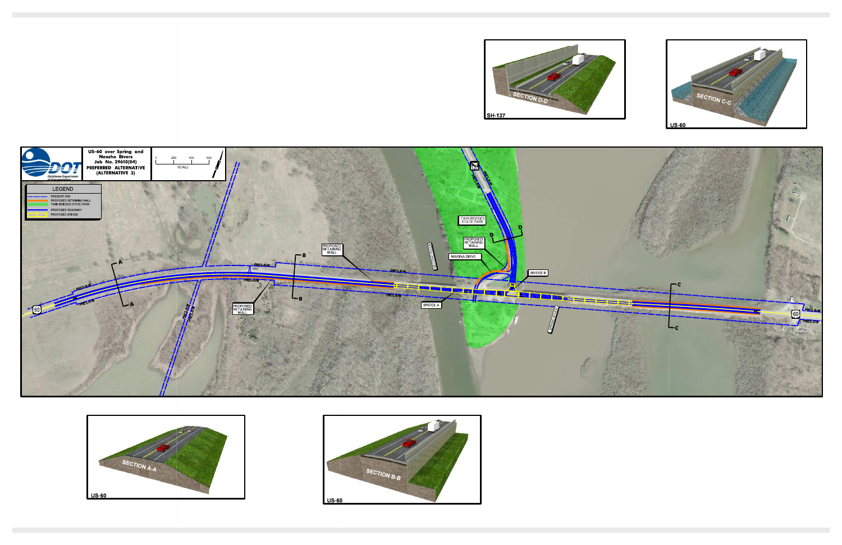